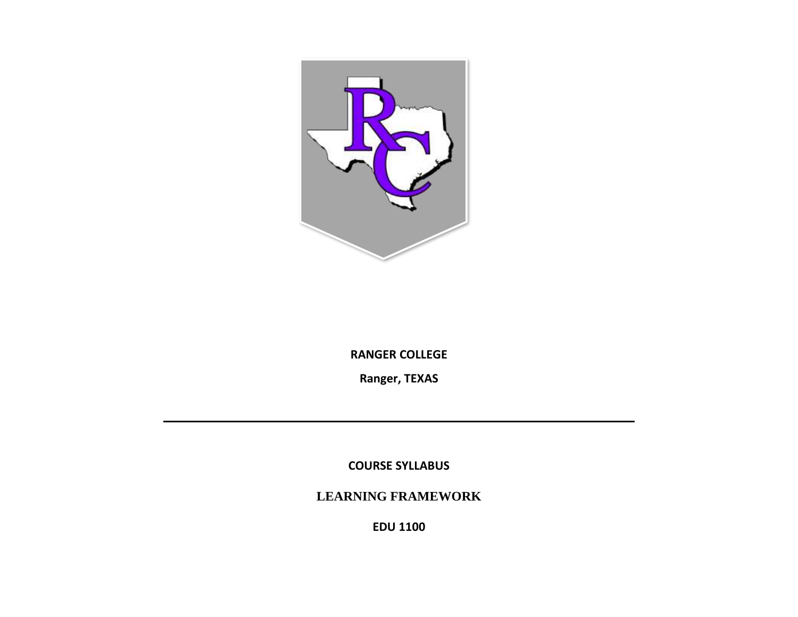

**RANGER COLLEGE**

**Ranger, TEXAS**

**COURSE SYLLABUS**

**LEARNING FRAMEWORK**

**EDU 1100**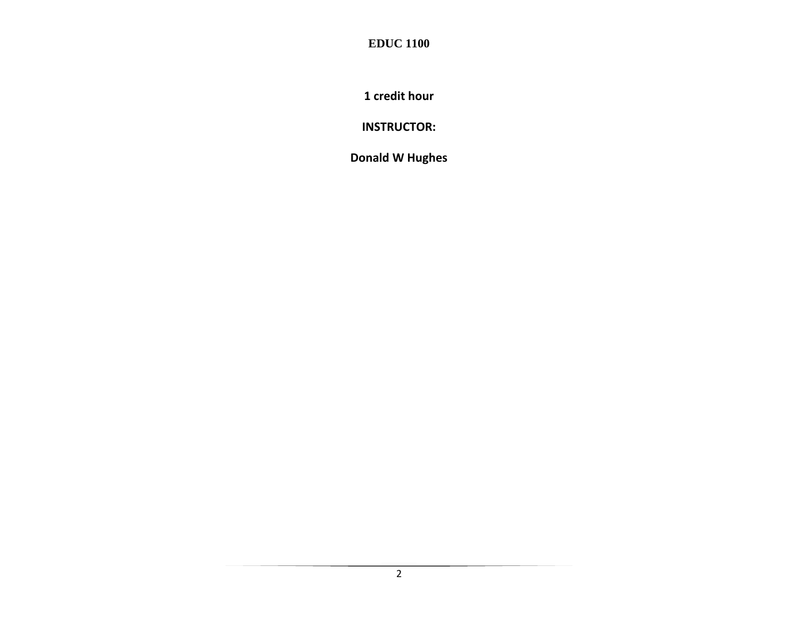**1 credit hour**

**INSTRUCTOR:**

**Donald W Hughes**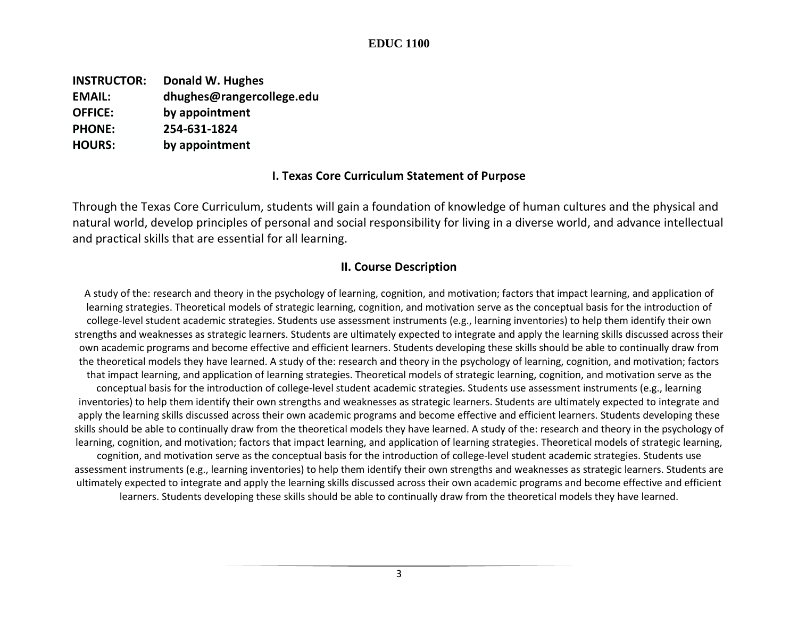**INSTRUCTOR: Donald W. Hughes EMAIL: dhughes@rangercollege.edu OFFICE: by appointment PHONE: 254-631-1824 HOURS: by appointment**

#### **I. Texas Core Curriculum Statement of Purpose**

Through the Texas Core Curriculum, students will gain a foundation of knowledge of human cultures and the physical and natural world, develop principles of personal and social responsibility for living in a diverse world, and advance intellectual and practical skills that are essential for all learning.

#### **II. Course Description**

A study of the: research and theory in the psychology of learning, cognition, and motivation; factors that impact learning, and application of learning strategies. Theoretical models of strategic learning, cognition, and motivation serve as the conceptual basis for the introduction of college-level student academic strategies. Students use assessment instruments (e.g., learning inventories) to help them identify their own strengths and weaknesses as strategic learners. Students are ultimately expected to integrate and apply the learning skills discussed across their own academic programs and become effective and efficient learners. Students developing these skills should be able to continually draw from the theoretical models they have learned. A study of the: research and theory in the psychology of learning, cognition, and motivation; factors that impact learning, and application of learning strategies. Theoretical models of strategic learning, cognition, and motivation serve as the conceptual basis for the introduction of college-level student academic strategies. Students use assessment instruments (e.g., learning inventories) to help them identify their own strengths and weaknesses as strategic learners. Students are ultimately expected to integrate and apply the learning skills discussed across their own academic programs and become effective and efficient learners. Students developing these skills should be able to continually draw from the theoretical models they have learned. A study of the: research and theory in the psychology of learning, cognition, and motivation; factors that impact learning, and application of learning strategies. Theoretical models of strategic learning, cognition, and motivation serve as the conceptual basis for the introduction of college-level student academic strategies. Students use assessment instruments (e.g., learning inventories) to help them identify their own strengths and weaknesses as strategic learners. Students are ultimately expected to integrate and apply the learning skills discussed across their own academic programs and become effective and efficient learners. Students developing these skills should be able to continually draw from the theoretical models they have learned.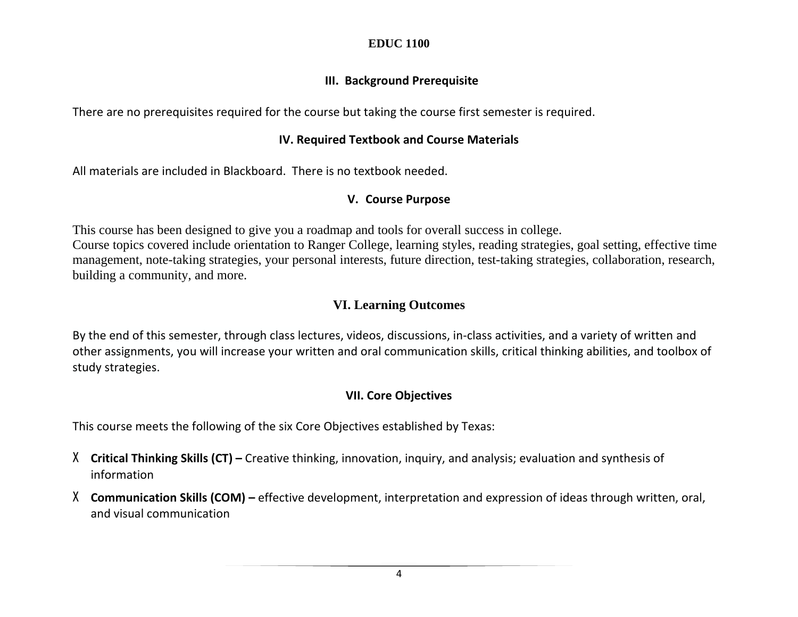## **III. Background Prerequisite**

There are no prerequisites required for the course but taking the course first semester is required.

## **IV. Required Textbook and Course Materials**

All materials are included in Blackboard. There is no textbook needed.

# **V. Course Purpose**

This course has been designed to give you a roadmap and tools for overall success in college.

Course topics covered include orientation to Ranger College, learning styles, reading strategies, goal setting, effective time management, note-taking strategies, your personal interests, future direction, test-taking strategies, collaboration, research, building a community, and more.

# **VI. Learning Outcomes**

By the end of this semester, through class lectures, videos, discussions, in-class activities, and a variety of written and other assignments, you will increase your written and oral communication skills, critical thinking abilities, and toolbox of study strategies.

# **VII. Core Objectives**

This course meets the following of the six Core Objectives established by Texas:

- X **Critical Thinking Skills (CT) –** Creative thinking, innovation, inquiry, and analysis; evaluation and synthesis of information
- X **Communication Skills (COM) –** effective development, interpretation and expression of ideas through written, oral, and visual communication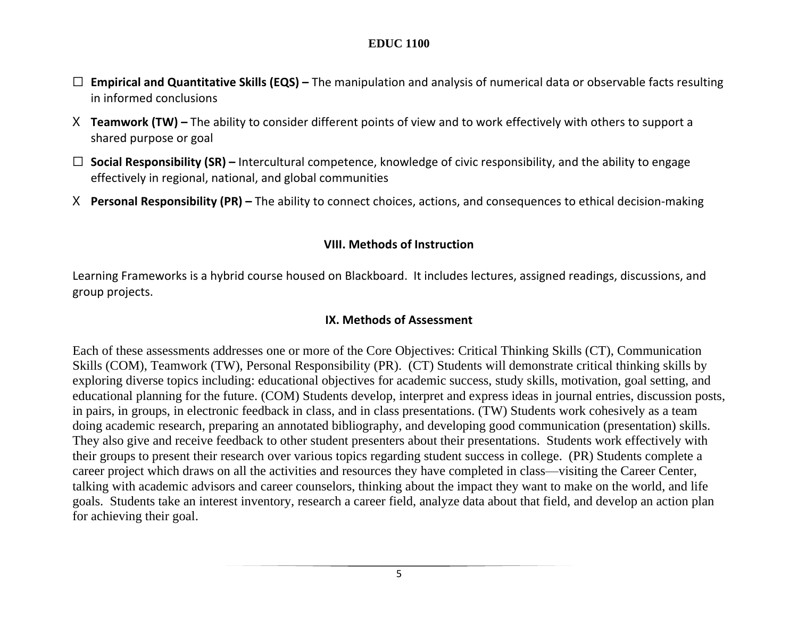- ☐ **Empirical and Quantitative Skills (EQS) –** The manipulation and analysis of numerical data or observable facts resulting in informed conclusions
- X **Teamwork (TW) –** The ability to consider different points of view and to work effectively with others to support a shared purpose or goal
- ☐ **Social Responsibility (SR) –** Intercultural competence, knowledge of civic responsibility, and the ability to engage effectively in regional, national, and global communities
- X **Personal Responsibility (PR) –** The ability to connect choices, actions, and consequences to ethical decision-making

### **VIII. Methods of Instruction**

Learning Frameworks is a hybrid course housed on Blackboard. It includes lectures, assigned readings, discussions, and group projects.

### **IX. Methods of Assessment**

Each of these assessments addresses one or more of the Core Objectives: Critical Thinking Skills (CT), Communication Skills (COM), Teamwork (TW), Personal Responsibility (PR). (CT) Students will demonstrate critical thinking skills by exploring diverse topics including: educational objectives for academic success, study skills, motivation, goal setting, and educational planning for the future. (COM) Students develop, interpret and express ideas in journal entries, discussion posts, in pairs, in groups, in electronic feedback in class, and in class presentations. (TW) Students work cohesively as a team doing academic research, preparing an annotated bibliography, and developing good communication (presentation) skills. They also give and receive feedback to other student presenters about their presentations. Students work effectively with their groups to present their research over various topics regarding student success in college. (PR) Students complete a career project which draws on all the activities and resources they have completed in class—visiting the Career Center, talking with academic advisors and career counselors, thinking about the impact they want to make on the world, and life goals. Students take an interest inventory, research a career field, analyze data about that field, and develop an action plan for achieving their goal.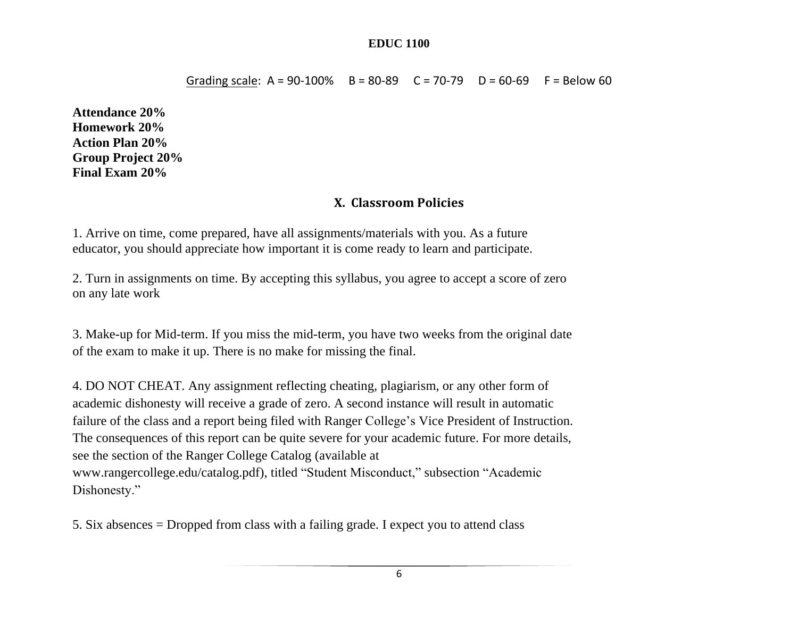Grading scale:  $A = 90-100\%$  B = 80-89 C = 70-79 D = 60-69 F = Below 60

**Attendance 20% Homework 20% Action Plan 20% Group Project 20% Final Exam 20%**

## **X. Classroom Policies**

1. Arrive on time, come prepared, have all assignments/materials with you. As a future educator, you should appreciate how important it is come ready to learn and participate.

2. Turn in assignments on time. By accepting this syllabus, you agree to accept a score of zero on any late work

3. Make-up for Mid-term. If you miss the mid-term, you have two weeks from the original date of the exam to make it up. There is no make for missing the final.

4. DO NOT CHEAT. Any assignment reflecting cheating, plagiarism, or any other form of academic dishonesty will receive a grade of zero. A second instance will result in automatic failure of the class and a report being filed with Ranger College's Vice President of Instruction. The consequences of this report can be quite severe for your academic future. For more details, see the section of the Ranger College Catalog (available at www.rangercollege.edu/catalog.pdf), titled "Student Misconduct," subsection "Academic Dishonesty."

5. Six absences = Dropped from class with a failing grade. I expect you to attend class

6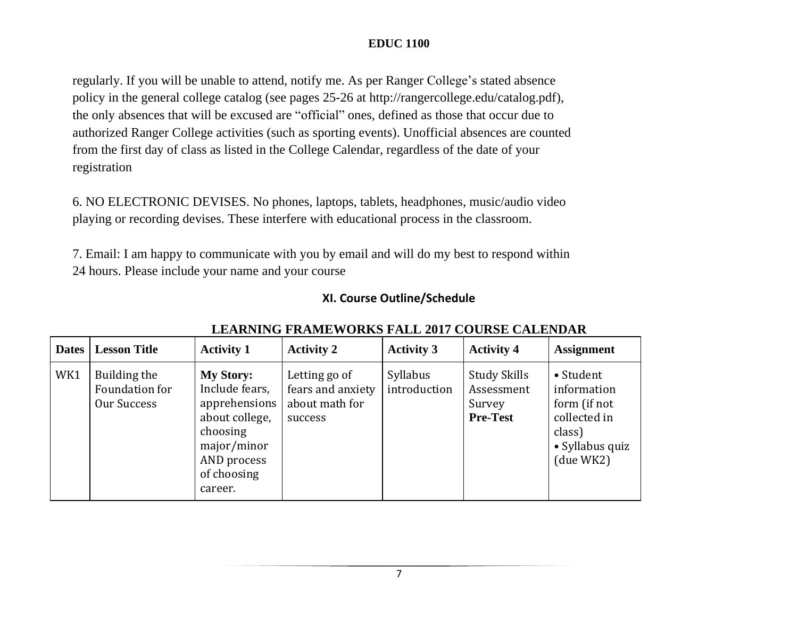regularly. If you will be unable to attend, notify me. As per Ranger College's stated absence policy in the general college catalog (see pages 25-26 at http://rangercollege.edu/catalog.pdf), the only absences that will be excused are "official" ones, defined as those that occur due to authorized Ranger College activities (such as sporting events). Unofficial absences are counted from the first day of class as listed in the College Calendar, regardless of the date of your registration

6. NO ELECTRONIC DEVISES. No phones, laptops, tablets, headphones, music/audio video playing or recording devises. These interfere with educational process in the classroom.

7. Email: I am happy to communicate with you by email and will do my best to respond within 24 hours. Please include your name and your course

## **XI. Course Outline/Schedule**

| <b>Dates</b> | <b>Lesson Title</b>                           | <b>Activity 1</b>                                                                                                                         | <b>Activity 2</b>                                               | <b>Activity 3</b>        | <b>Activity 4</b>                                       | <b>Assignment</b>                                                                                  |
|--------------|-----------------------------------------------|-------------------------------------------------------------------------------------------------------------------------------------------|-----------------------------------------------------------------|--------------------------|---------------------------------------------------------|----------------------------------------------------------------------------------------------------|
| WK1          | Building the<br>Foundation for<br>Our Success | <b>My Story:</b><br>Include fears,<br>apprehensions<br>about college,<br>choosing<br>major/minor<br>AND process<br>of choosing<br>career. | Letting go of<br>fears and anxiety<br>about math for<br>success | Syllabus<br>introduction | Study Skills<br>Assessment<br>Survey<br><b>Pre-Test</b> | • Student<br>information<br>form (if not<br>collected in<br>class)<br>• Syllabus quiz<br>(due WK2) |

## **LEARNING FRAMEWORKS FALL 2017 COURSE CALENDAR**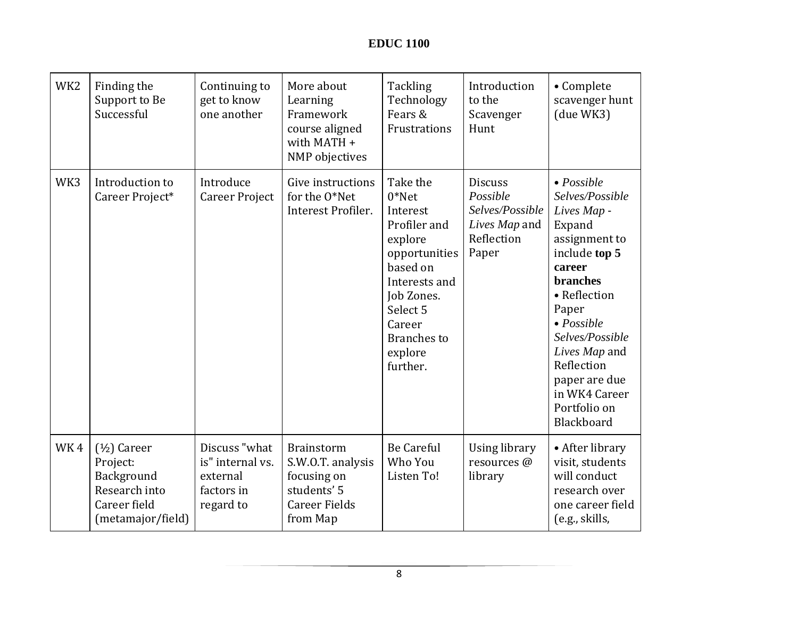| WK <sub>2</sub> | Finding the<br>Support to Be<br>Successful                                                     | Continuing to<br>get to know<br>one another                              | More about<br>Learning<br>Framework<br>course aligned<br>with MATH +<br>NMP objectives            | Tackling<br>Technology<br>Fears &<br>Frustrations                                                                                                                                          | Introduction<br>to the<br>Scavenger<br>Hunt                                           | • Complete<br>scavenger hunt<br>(due WK3)                                                                                                                                                                                                                                               |
|-----------------|------------------------------------------------------------------------------------------------|--------------------------------------------------------------------------|---------------------------------------------------------------------------------------------------|--------------------------------------------------------------------------------------------------------------------------------------------------------------------------------------------|---------------------------------------------------------------------------------------|-----------------------------------------------------------------------------------------------------------------------------------------------------------------------------------------------------------------------------------------------------------------------------------------|
| WK3             | Introduction to<br>Career Project*                                                             | Introduce<br><b>Career Project</b>                                       | Give instructions<br>for the O*Net<br>Interest Profiler.                                          | Take the<br>$0*$ Net<br>Interest<br>Profiler and<br>explore<br>opportunities<br>based on<br>Interests and<br>Job Zones.<br>Select 5<br>Career<br><b>Branches</b> to<br>explore<br>further. | <b>Discuss</b><br>Possible<br>Selves/Possible<br>Lives Map and<br>Reflection<br>Paper | $\bullet$ Possible<br>Selves/Possible<br>Lives Map -<br>Expand<br>assignment to<br>include top 5<br>career<br>branches<br>• Reflection<br>Paper<br>$\bullet$ Possible<br>Selves/Possible<br>Lives Map and<br>Reflection<br>paper are due<br>in WK4 Career<br>Portfolio on<br>Blackboard |
| WK4             | $(1/2)$ Career<br>Project:<br>Background<br>Research into<br>Career field<br>(metamajor/field) | Discuss "what<br>is" internal vs.<br>external<br>factors in<br>regard to | Brainstorm<br>S.W.O.T. analysis<br>focusing on<br>students' 5<br><b>Career Fields</b><br>from Map | <b>Be Careful</b><br>Who You<br>Listen To!                                                                                                                                                 | <b>Using library</b><br>resources @<br>library                                        | • After library<br>visit, students<br>will conduct<br>research over<br>one career field<br>(e.g., skills,                                                                                                                                                                               |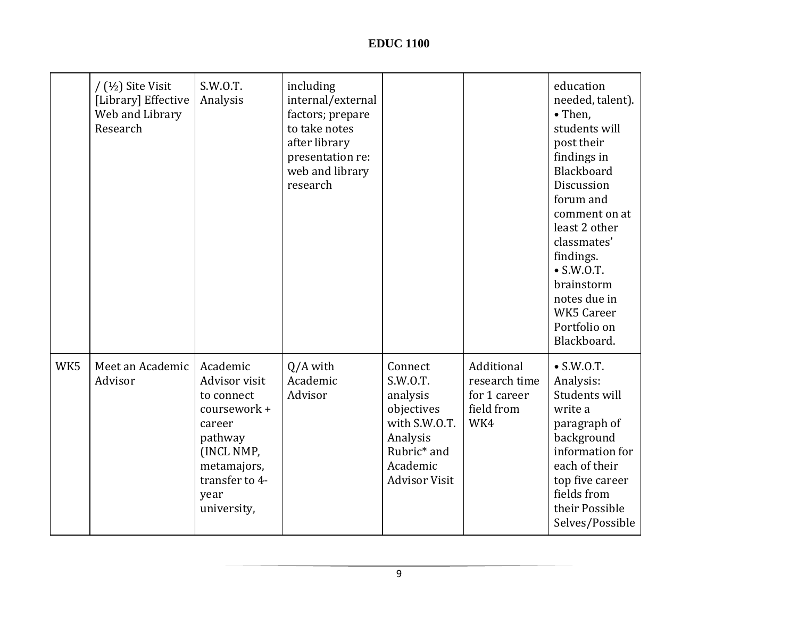|     | $/$ ( $\frac{1}{2}$ ) Site Visit<br>[Library] Effective<br>Web and Library<br>Research | S.W.O.T.<br>Analysis                                                                                                                               | including<br>internal/external<br>factors; prepare<br>to take notes<br>after library<br>presentation re:<br>web and library<br>research |                                                                                                                                           |                                                                  | education<br>needed, talent).<br>• Then,<br>students will<br>post their<br>findings in<br>Blackboard<br>Discussion<br>forum and<br>comment on at<br>least 2 other<br>classmates'<br>findings.<br>$\bullet$ S.W.O.T.<br>brainstorm<br>notes due in<br><b>WK5 Career</b><br>Portfolio on<br>Blackboard. |
|-----|----------------------------------------------------------------------------------------|----------------------------------------------------------------------------------------------------------------------------------------------------|-----------------------------------------------------------------------------------------------------------------------------------------|-------------------------------------------------------------------------------------------------------------------------------------------|------------------------------------------------------------------|-------------------------------------------------------------------------------------------------------------------------------------------------------------------------------------------------------------------------------------------------------------------------------------------------------|
| WK5 | Meet an Academic<br>Advisor                                                            | Academic<br>Advisor visit<br>to connect<br>coursework +<br>career<br>pathway<br>(INCL NMP,<br>metamajors,<br>transfer to 4-<br>year<br>university, | $Q/A$ with<br>Academic<br>Advisor                                                                                                       | Connect<br>S.W.O.T.<br>analysis<br>objectives<br>with S.W.O.T.<br>Analysis<br>Rubric <sup>*</sup> and<br>Academic<br><b>Advisor Visit</b> | Additional<br>research time<br>for 1 career<br>field from<br>WK4 | $\bullet$ S.W.O.T.<br>Analysis:<br>Students will<br>write a<br>paragraph of<br>background<br>information for<br>each of their<br>top five career<br>fields from<br>their Possible<br>Selves/Possible                                                                                                  |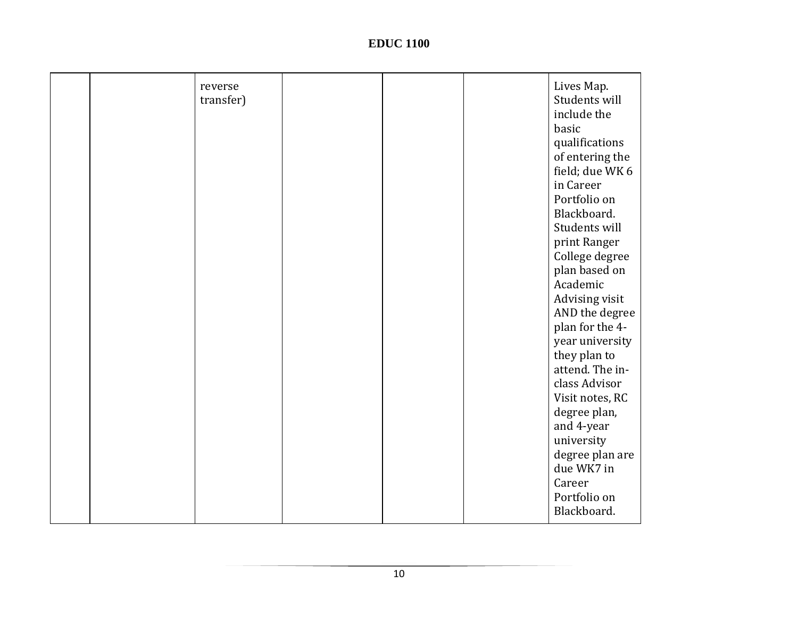| reverse<br>transfer) |  | Lives Map.<br>Students will<br>include the<br>basic<br>qualifications<br>of entering the<br>field; due WK 6<br>in Career<br>Portfolio on<br>Blackboard.<br>Students will<br>print Ranger<br>College degree<br>plan based on<br>Academic<br>Advising visit<br>AND the degree<br>plan for the 4-<br>year university<br>they plan to<br>attend. The in-<br>class Advisor<br>Visit notes, RC<br>degree plan,<br>and 4-year |
|----------------------|--|------------------------------------------------------------------------------------------------------------------------------------------------------------------------------------------------------------------------------------------------------------------------------------------------------------------------------------------------------------------------------------------------------------------------|
|                      |  | university<br>degree plan are<br>due WK7 in<br>Career<br>Portfolio on<br>Blackboard.                                                                                                                                                                                                                                                                                                                                   |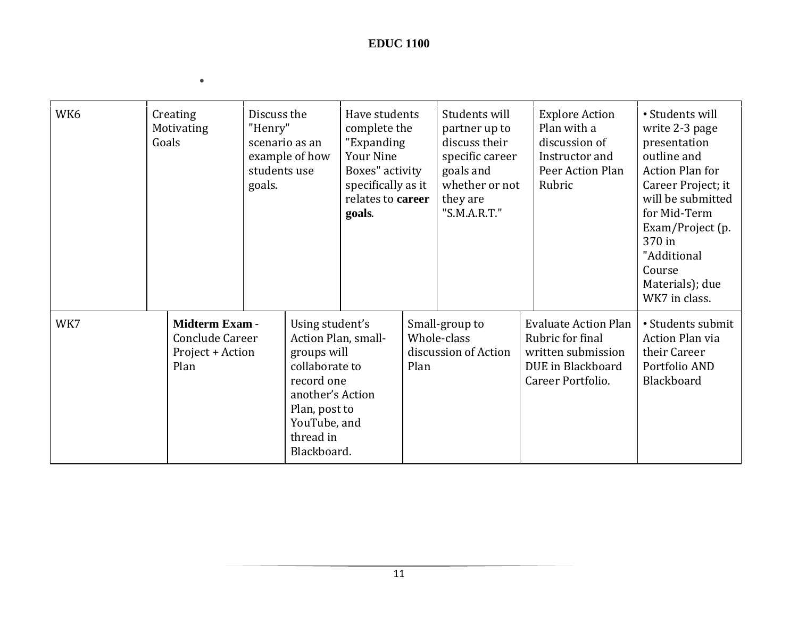$\bullet$ 

| WK6 | Creating<br>Motivating<br>Goals                                      | Discuss the<br>"Henry"<br>students use<br>goals. | scenario as an<br>example of how                                                                                                                                       | Have students<br>complete the<br>"Expanding<br><b>Your Nine</b><br>Boxes" activity<br>specifically as it<br>relates to career<br>goals. |      | Students will<br>partner up to<br>discuss their<br>specific career<br>goals and<br>whether or not<br>they are<br>"S.M.A.R.T." | <b>Explore Action</b><br>Plan with a<br>discussion of<br>Instructor and<br>Peer Action Plan<br>Rubric           | • Students will<br>write 2-3 page<br>presentation<br>outline and<br><b>Action Plan for</b><br>Career Project; it<br>will be submitted<br>for Mid-Term<br>Exam/Project (p.<br>370 in<br>"Additional<br>Course<br>Materials); due<br>WK7 in class. |
|-----|----------------------------------------------------------------------|--------------------------------------------------|------------------------------------------------------------------------------------------------------------------------------------------------------------------------|-----------------------------------------------------------------------------------------------------------------------------------------|------|-------------------------------------------------------------------------------------------------------------------------------|-----------------------------------------------------------------------------------------------------------------|--------------------------------------------------------------------------------------------------------------------------------------------------------------------------------------------------------------------------------------------------|
| WK7 | <b>Midterm Exam -</b><br>Conclude Career<br>Project + Action<br>Plan |                                                  | Using student's<br>Action Plan, small-<br>groups will<br>collaborate to<br>record one<br>another's Action<br>Plan, post to<br>YouTube, and<br>thread in<br>Blackboard. |                                                                                                                                         | Plan | Small-group to<br>Whole-class<br>discussion of Action                                                                         | <b>Evaluate Action Plan</b><br>Rubric for final<br>written submission<br>DUE in Blackboard<br>Career Portfolio. | • Students submit<br>Action Plan via<br>their Career<br>Portfolio AND<br>Blackboard                                                                                                                                                              |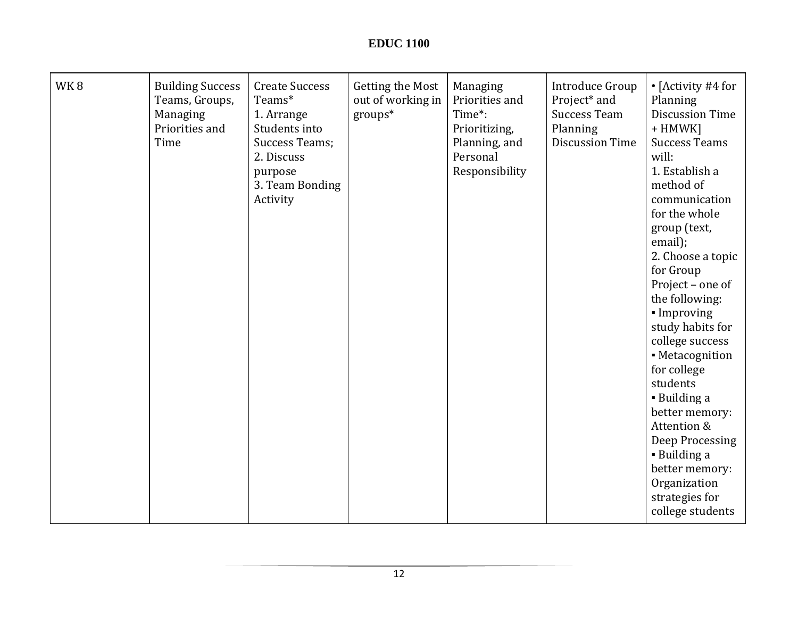| WK8 | <b>Building Success</b><br>Teams, Groups,<br>Managing<br>Priorities and<br>Time | <b>Create Success</b><br>Teams*<br>1. Arrange<br>Students into<br><b>Success Teams;</b><br>2. Discuss<br>purpose<br>3. Team Bonding<br>Activity | Getting the Most<br>out of working in<br>groups* | Managing<br>Priorities and<br>Time*:<br>Prioritizing,<br>Planning, and<br>Personal<br>Responsibility | <b>Introduce Group</b><br>Project* and<br><b>Success Team</b><br>Planning<br><b>Discussion Time</b> | • [Activity #4 for<br>Planning<br><b>Discussion Time</b><br>+ HMWK]<br><b>Success Teams</b><br>will:<br>1. Establish a<br>method of<br>communication<br>for the whole<br>group (text,<br>email);<br>2. Choose a topic<br>for Group<br>Project - one of<br>the following:<br>• Improving<br>study habits for<br>college success<br>• Metacognition<br>for college<br>students<br>• Building a<br>better memory:<br>Attention &<br>Deep Processing<br>• Building a<br>better memory:<br>Organization |
|-----|---------------------------------------------------------------------------------|-------------------------------------------------------------------------------------------------------------------------------------------------|--------------------------------------------------|------------------------------------------------------------------------------------------------------|-----------------------------------------------------------------------------------------------------|----------------------------------------------------------------------------------------------------------------------------------------------------------------------------------------------------------------------------------------------------------------------------------------------------------------------------------------------------------------------------------------------------------------------------------------------------------------------------------------------------|
|     |                                                                                 |                                                                                                                                                 |                                                  |                                                                                                      |                                                                                                     | strategies for<br>college students                                                                                                                                                                                                                                                                                                                                                                                                                                                                 |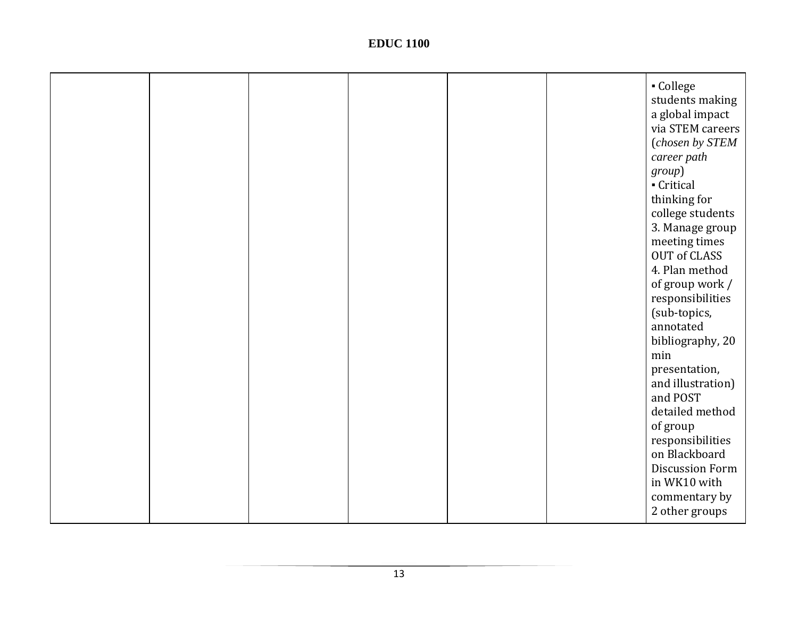|  |  |  | - College<br>students making<br>a global impact<br>via STEM careers<br>(chosen by STEM<br>career path<br>group)<br>Critical<br>thinking for<br>college students<br>3. Manage group<br>meeting times<br>OUT of CLASS<br>4. Plan method<br>of group work /<br>responsibilities<br>(sub-topics,<br>annotated<br>bibliography, 20<br>min<br>presentation,<br>and illustration)<br>and POST<br>detailed method<br>of group<br>responsibilities<br>on Blackboard<br><b>Discussion Form</b><br>in WK10 with |
|--|--|--|------------------------------------------------------------------------------------------------------------------------------------------------------------------------------------------------------------------------------------------------------------------------------------------------------------------------------------------------------------------------------------------------------------------------------------------------------------------------------------------------------|
|  |  |  | commentary by<br>2 other groups                                                                                                                                                                                                                                                                                                                                                                                                                                                                      |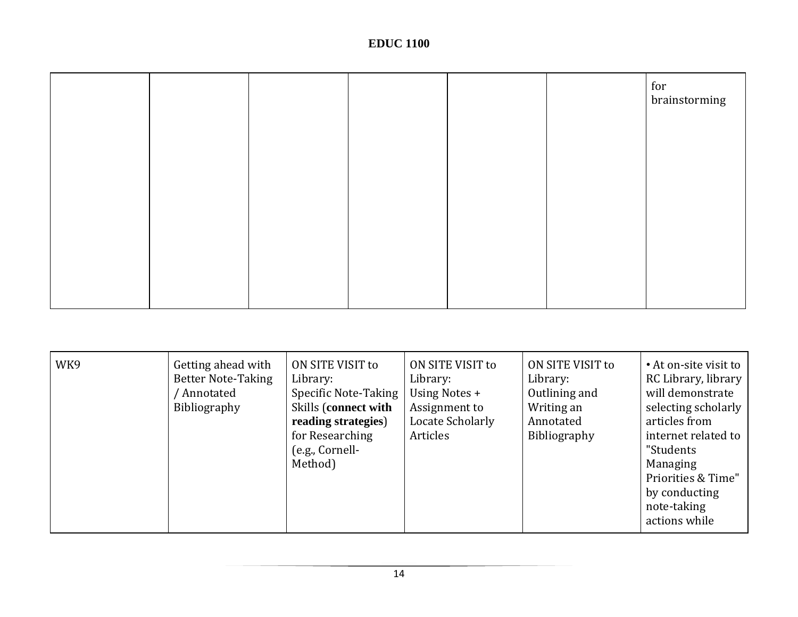|  |  |  | for<br>brainstorming |
|--|--|--|----------------------|
|  |  |  |                      |
|  |  |  |                      |
|  |  |  |                      |
|  |  |  |                      |
|  |  |  |                      |

| WK9 | Getting ahead with<br><b>Better Note-Taking</b><br>/ Annotated<br>Bibliography | ON SITE VISIT to<br>Library:<br>Specific Note-Taking<br>Skills (connect with<br>reading strategies)<br>for Researching<br>(e.g., Cornell-<br>Method) | ON SITE VISIT to<br>Library:<br>Using Notes +<br>Assignment to<br>Locate Scholarly<br>Articles | ON SITE VISIT to<br>Library:<br>Outlining and<br>Writing an<br>Annotated<br>Bibliography | • At on-site visit to<br>RC Library, library<br>will demonstrate<br>selecting scholarly<br>articles from<br>internet related to<br>"Students<br>Managing<br>Priorities & Time"<br>by conducting<br>note-taking<br>actions while |
|-----|--------------------------------------------------------------------------------|------------------------------------------------------------------------------------------------------------------------------------------------------|------------------------------------------------------------------------------------------------|------------------------------------------------------------------------------------------|---------------------------------------------------------------------------------------------------------------------------------------------------------------------------------------------------------------------------------|
|-----|--------------------------------------------------------------------------------|------------------------------------------------------------------------------------------------------------------------------------------------------|------------------------------------------------------------------------------------------------|------------------------------------------------------------------------------------------|---------------------------------------------------------------------------------------------------------------------------------------------------------------------------------------------------------------------------------|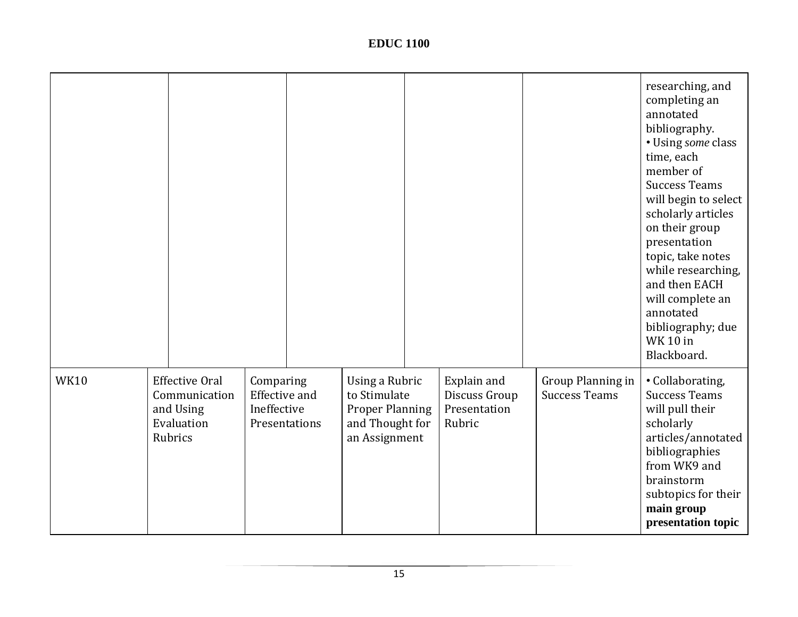|             |                                                                              |                                                  |               |                                                                                              |                                                        |                                           | researching, and<br>completing an<br>annotated<br>bibliography.<br>• Using some class<br>time, each<br>member of<br><b>Success Teams</b><br>will begin to select<br>scholarly articles<br>on their group<br>presentation<br>topic, take notes<br>while researching,<br>and then EACH<br>will complete an<br>annotated<br>bibliography; due<br><b>WK 10 in</b><br>Blackboard. |
|-------------|------------------------------------------------------------------------------|--------------------------------------------------|---------------|----------------------------------------------------------------------------------------------|--------------------------------------------------------|-------------------------------------------|------------------------------------------------------------------------------------------------------------------------------------------------------------------------------------------------------------------------------------------------------------------------------------------------------------------------------------------------------------------------------|
| <b>WK10</b> | <b>Effective Oral</b><br>Communication<br>and Using<br>Evaluation<br>Rubrics | Comparing<br><b>Effective and</b><br>Ineffective | Presentations | Using a Rubric<br>to Stimulate<br><b>Proper Planning</b><br>and Thought for<br>an Assignment | Explain and<br>Discuss Group<br>Presentation<br>Rubric | Group Planning in<br><b>Success Teams</b> | • Collaborating,<br><b>Success Teams</b><br>will pull their<br>scholarly<br>articles/annotated<br>bibliographies<br>from WK9 and<br>brainstorm<br>subtopics for their<br>main group<br>presentation topic                                                                                                                                                                    |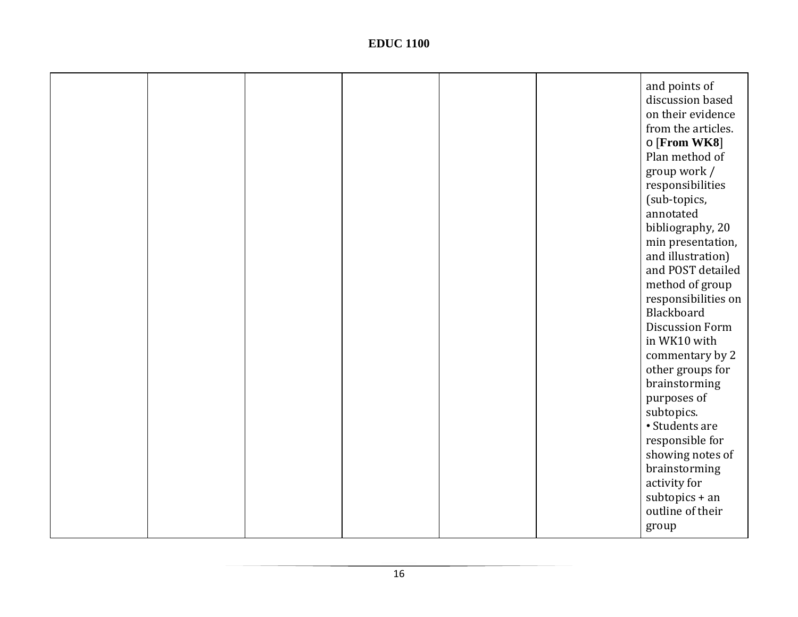|  |  |  | and points of<br>discussion based<br>on their evidence<br>from the articles.<br>o [From WK8]<br>Plan method of<br>group work /<br>responsibilities<br>(sub-topics,<br>annotated<br>bibliography, 20<br>min presentation,<br>and illustration)<br>and POST detailed<br>method of group<br>responsibilities on<br>Blackboard<br><b>Discussion Form</b> |
|--|--|--|------------------------------------------------------------------------------------------------------------------------------------------------------------------------------------------------------------------------------------------------------------------------------------------------------------------------------------------------------|
|  |  |  | commentary by 2<br>other groups for<br>brainstorming                                                                                                                                                                                                                                                                                                 |
|  |  |  | purposes of<br>subtopics.<br>• Students are                                                                                                                                                                                                                                                                                                          |
|  |  |  | responsible for<br>showing notes of                                                                                                                                                                                                                                                                                                                  |
|  |  |  | brainstorming<br>activity for                                                                                                                                                                                                                                                                                                                        |
|  |  |  | $subtopics + an$<br>outline of their                                                                                                                                                                                                                                                                                                                 |
|  |  |  | group                                                                                                                                                                                                                                                                                                                                                |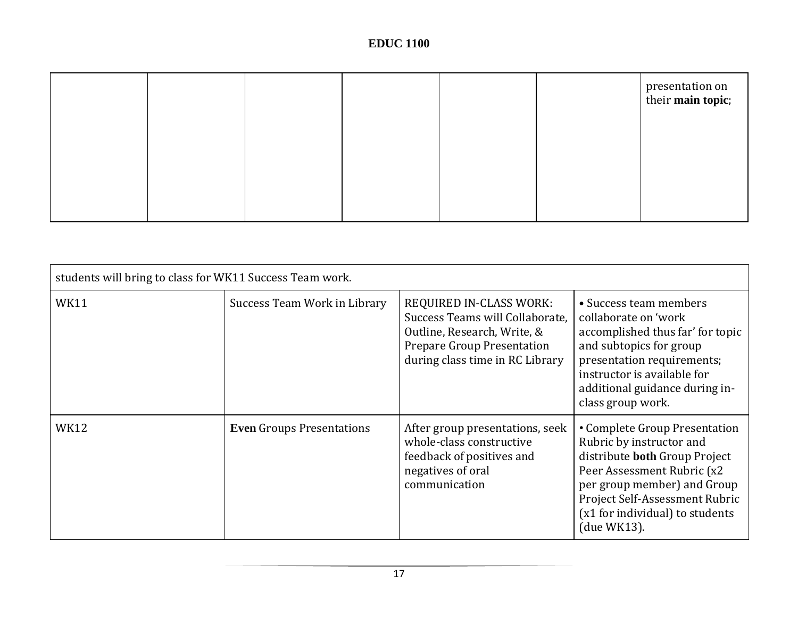|  |  |  | presentation on<br>their <b>main topic</b> ; |
|--|--|--|----------------------------------------------|
|  |  |  |                                              |
|  |  |  |                                              |
|  |  |  |                                              |

| students will bring to class for WK11 Success Team work. |                                  |                                                                                                                                                                   |                                                                                                                                                                                                                                             |  |  |  |  |  |  |  |
|----------------------------------------------------------|----------------------------------|-------------------------------------------------------------------------------------------------------------------------------------------------------------------|---------------------------------------------------------------------------------------------------------------------------------------------------------------------------------------------------------------------------------------------|--|--|--|--|--|--|--|
| <b>WK11</b>                                              | Success Team Work in Library     | REQUIRED IN-CLASS WORK:<br>Success Teams will Collaborate,<br>Outline, Research, Write, &<br><b>Prepare Group Presentation</b><br>during class time in RC Library | • Success team members<br>collaborate on 'work<br>accomplished thus far' for topic<br>and subtopics for group<br>presentation requirements;<br>instructor is available for<br>additional guidance during in-<br>class group work.           |  |  |  |  |  |  |  |
| <b>WK12</b>                                              | <b>Even Groups Presentations</b> | After group presentations, seek<br>whole-class constructive<br>feedback of positives and<br>negatives of oral<br>communication                                    | • Complete Group Presentation<br>Rubric by instructor and<br>distribute both Group Project<br>Peer Assessment Rubric (x2<br>per group member) and Group<br>Project Self-Assessment Rubric<br>(x1 for individual) to students<br>(due WK13). |  |  |  |  |  |  |  |